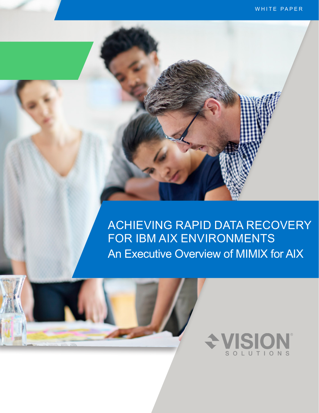# ACHIEVING RAPID DATA RECOVERY FOR IBM AIX ENVIRONMENTS An Executive Overview of MIMIX for AIX

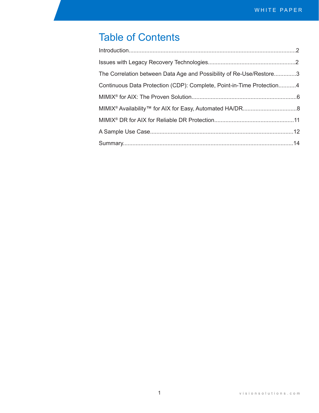## Table of Contents

| The Correlation between Data Age and Possibility of Re-Use/Restore3   |  |
|-----------------------------------------------------------------------|--|
| Continuous Data Protection (CDP): Complete, Point-in-Time Protection4 |  |
|                                                                       |  |
|                                                                       |  |
|                                                                       |  |
|                                                                       |  |
|                                                                       |  |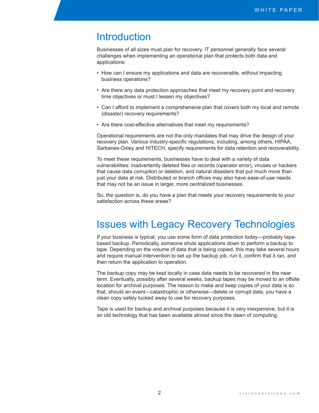### **Introduction**

Businesses of all sizes must plan for recovery. IT personnel generally face several challenges when implementing an operational plan that protects both data and applications:

- How can I ensure my applications and data are recoverable, without impacting business operations?
- Are there any data protection approaches that meet my recovery point and recovery time objectives or must I lessen my objectives?
- Can I afford to implement a comprehensive plan that covers both my local and remote (disaster) recovery requirements?
- Are there cost-effective alternatives that meet my requirements?

Operational requirements are not the only mandates that may drive the design of your recovery plan. Various industry-specific regulations, including, among others, HIPAA, Sarbanes-Oxley and HITECH, specify requirements for data retention and recoverability.

To meet these requirements, businesses have to deal with a variety of data vulnerabilities: inadvertently deleted files or records (operator error), viruses or hackers that cause data corruption or deletion, and natural disasters that put much more than just your data at risk. Distributed or branch offices may also have ease-of-use needs that may not be an issue in larger, more centralized businesses.

So, the question is, do you have a plan that meets your recovery requirements to your satisfaction across these areas?

### Issues with Legacy Recovery Technologies

If your business is typical, you use some form of data protection today—probably tapebased backup. Periodically, someone shuts applications down to perform a backup to tape. Depending on the volume of data that is being copied, this may take several hours and require manual intervention to set up the backup job, run it, confirm that it ran, and then return the application to operation.

The backup copy may be kept locally in case data needs to be recovered in the near term. Eventually, possibly after several weeks, backup tapes may be moved to an offsite location for archival purposes. The reason to make and keep copies of your data is so that, should an event—catastrophic or otherwise—delete or corrupt data, you have a clean copy safely tucked away to use for recovery purposes.

Tape is used for backup and archival purposes because it is very inexpensive, but it is an old technology that has been available almost since the dawn of computing.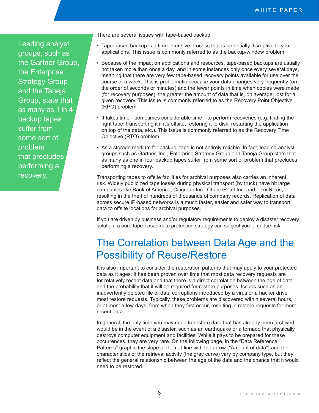Leading analyst groups, such as the Gartner Group, the Enterprise Strategy Group and the Taneja Group, state that as many as 1 in 4 backup tapes suffer from some sort of problem that precludes performing a recovery.

There are several issues with tape-based backup:

- Tape-based backup is a time-intensive process that is potentially disruptive to your applications. This issue is commonly referred to as the backup-window problem.
- • Because of the impact on applications and resources, tape-based backups are usually not taken more than once a day, and in some instances only once every several days, meaning that there are very few tape-based recovery points available for use over the course of a week. This is problematic because your data changes very frequently (on the order of seconds or minutes) and the fewer points in time when copies were made (for recovery purposes), the greater the amount of data that is, on average, lost for a given recovery. This issue is commonly referred to as the Recovery Point Objective (RPO) problem.
- • It takes time—sometimes considerable time—to perform recoveries (e.g. finding the right tape, transporting it if it's offsite, restoring it to disk, restarting the application on top of the data, etc.). This issue is commonly referred to as the Recovery Time Objective (RTO) problem.
- As a storage medium for backup, tape is not entirely reliable. In fact, leading analyst groups such as Gartner, Inc., Enterprise Strategy Group and Taneja Group state that as many as one in four backup tapes suffer from some sort of problem that precludes performing a recovery.

Transporting tapes to offsite facilities for archival purposes also carries an inherent risk. Widely publicized tape losses during physical transport (by truck) have hit large companies like Bank of America, Citigroup Inc., ChoicePoint Inc. and LexisNexis, resulting in the theft of hundreds of thousands of company records. Replication of data across secure IP-based networks is a much faster, easier and safer way to transport data to offsite locations for archival purposes.

If you are driven by business and/or regulatory requirements to deploy a disaster recovery solution, a pure tape-based data protection strategy can subject you to undue risk.

## The Correlation between Data Age and the Possibility of Reuse/Restore

It is also important to consider the restoration patterns that may apply to your protected data as it ages. It has been proven over time that most data recovery requests are for relatively recent data and that there is a direct correlation between the age of data and the probability that it will be required for restore purposes. Issues such as an inadvertently deleted file or data corruptions introduced by a virus or a hacker drive most restore requests. Typically, these problems are discovered within several hours, or at most a few days, from when they first occur, resulting in restore requests for more recent data.

In general, the only time you may need to restore data that has already been archived would be in the event of a disaster, such as an earthquake or a tornado that physically destroys computer equipment and facilities. While it pays to be prepared for these occurrences, they are very rare. On the following page, in the "Data Reference Patterns" graphic the slope of the red line with the arrow ("Amount of data") and the characteristics of the retrieval activity (the gray curve) vary by company type, but they reflect the general relationship between the age of the data and the chance that it would need to be restored.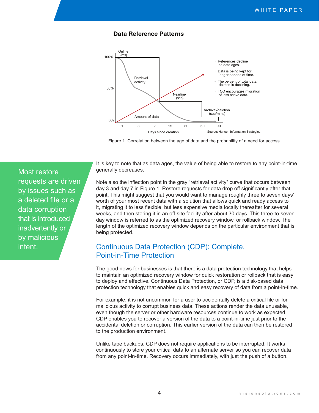#### **Data Reference Patterns**



Figure 1. Correlation between the age of data and the probability of a need for access

Most restore requests are driven by issues such as a deleted file or a data corruption that is introduced inadvertently or by malicious intent.

It is key to note that as data ages, the value of being able to restore to any point-in-time generally decreases.

Note also the inflection point in the gray "retrieval activity" curve that occurs between day 3 and day 7 in Figure 1. Restore requests for data drop off significantly after that point. This might suggest that you would want to manage roughly three to seven days' worth of your most recent data with a solution that allows quick and ready access to it, migrating it to less flexible, but less expensive media locally thereafter for several weeks, and then storing it in an off-site facility after about 30 days. This three-to-sevenday window is referred to as the optimized recovery window, or rollback window. The length of the optimized recovery window depends on the particular environment that is being protected.

### Continuous Data Protection (CDP): Complete, Point-in-Time Protection

The good news for businesses is that there is a data protection technology that helps to maintain an optimized recovery window for quick restoration or rollback that is easy to deploy and effective. Continuous Data Protection, or CDP, is a disk-based data protection technology that enables quick and easy recovery of data from a point-in-time.

For example, it is not uncommon for a user to accidentally delete a critical file or for malicious activity to corrupt business data. These actions render the data unusable, even though the server or other hardware resources continue to work as expected. CDP enables you to recover a version of the data to a point-in-time just prior to the accidental deletion or corruption. This earlier version of the data can then be restored to the production environment.

Unlike tape backups, CDP does not require applications to be interrupted. It works continuously to store your critical data to an alternate server so you can recover data from any point-in-time. Recovery occurs immediately, with just the push of a button.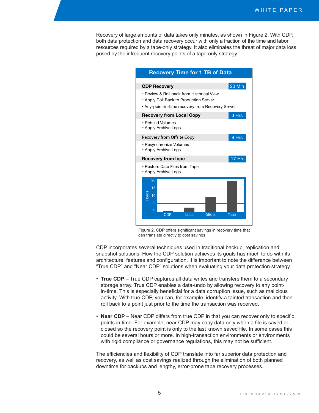Recovery of large amounts of data takes only minutes, as shown in Figure 2. With CDP, both data protection and data recovery occur with only a fraction of the time and labor resources required by a tape-only strategy. It also eliminates the threat of major data loss posed by the infrequent recovery points of a tape-only strategy.

| <b>Recovery Time for 1 TB of Data</b>                                                                                                    |             |  |
|------------------------------------------------------------------------------------------------------------------------------------------|-------------|--|
| <b>CDP Recovery</b>                                                                                                                      | 20 Min      |  |
| • Review & Roll back from Historical View<br>• Apply Roll Back to Production Server<br>• Any-point-in-time recovery from Recovery Server |             |  |
| <b>Recovery from Local Copy</b>                                                                                                          | 3 Hrs       |  |
| • Rebuild Volumes<br>• Apply Archive Logs                                                                                                |             |  |
| Recovery from Offsite Copy                                                                                                               | 9 Hrs       |  |
| • Resynchronize Volumes<br>• Apply Archive Logs                                                                                          |             |  |
| <b>Recovery from tape</b>                                                                                                                | 17 Hrs      |  |
| • Restore Data Files from Tape<br>• Apply Archive Logs                                                                                   |             |  |
| 20<br>15<br><b>Hours</b><br>10<br>5<br>$\Omega$<br><b>CDP</b><br>Local<br>Offsite                                                        | <b>Tape</b> |  |
| the company of the company of the company of the company of the company of the company of<br>$\sim$ $\sim$ $\sim$<br>$\sim$ $\sim$       |             |  |

Figure 2. CDP offers significant savings in recovery time that can translate directly to cost savings.

CDP incorporates several techniques used in traditional backup, replication and snapshot solutions. How the CDP solution achieves its goals has much to do with its architecture, features and configuration. It is important to note the difference between "True CDP" and "Near CDP" solutions when evaluating your data protection strategy.

- **True CDP** True CDP captures all data writes and transfers them to a secondary storage array. True CDP enables a data-undo by allowing recovery to any pointin-time. This is especially beneficial for a data corruption issue, such as malicious activity. With true CDP, you can, for example, identify a tainted transaction and then roll back to a point just prior to the time the transaction was received.
- **Near CDP** Near CDP differs from true CDP in that you can recover only to specific points in time. For example, near CDP may copy data only when a file is saved or closed so the recovery point is only to the last known saved file. In some cases this could be several hours or more. In high-transaction environments or environments with rigid compliance or governance regulations, this may not be sufficient.

The efficiencies and flexibility of CDP translate into far superior data protection and recovery, as well as cost savings realized through the elimination of both planned downtime for backups and lengthy, error-prone tape recovery processes.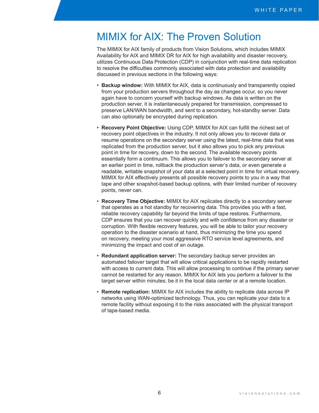### MIMIX for AIX: The Proven Solution

The MIMIX for AIX family of products from Vision Solutions, which includes MIMIX Availability for AIX and MIMIX DR for AIX for high availability and disaster recovery, utilizes Continuous Data Protection (CDP) in conjunction with real-time data replication to resolve the difficulties commonly associated with data protection and availability discussed in previous sections in the following ways:

- **Backup window:** With MIMIX for AIX, data is continuously and transparently copied from your production servers throughout the day as changes occur, so you never again have to concern yourself with backup windows. As data is written on the production server, it is instantaneously prepared for transmission, compressed to preserve LAN/WAN bandwidth, and sent to a secondary, hot-standby server. Data can also optionally be encrypted during replication.
- **Recovery Point Objective:** Using CDP, MIMIX for AIX can fulfill the richest set of recovery point objectives in the industry. It not only allows you to recover data or resume operations on the secondary server using the latest, real-time data that was replicated from the production server, but it also allows you to pick any previous point in time for recovery, down to the second. The available recovery points essentially form a continuum. This allows you to failover to the secondary server at an earlier point in time, rollback the production server's data, or even generate a readable, writable snapshot of your data at a selected point in time for virtual recovery. MIMIX for AIX effectively presents all possible recovery points to you in a way that tape and other snapshot-based backup options, with their limited number of recovery points, never can.
- **Recovery Time Objective:** MIMIX for AIX replicates directly to a secondary server that operates as a hot standby for recovering data. This provides you with a fast, reliable recovery capability far beyond the limits of tape restores. Furthermore, CDP ensures that you can recover quickly and with confidence from any disaster or corruption. With flexible recovery features, you will be able to tailor your recovery operation to the disaster scenario at hand, thus minimizing the time you spend on recovery, meeting your most aggressive RTO service level agreements, and minimizing the impact and cost of an outage.
- **Redundant application server:** The secondary backup server provides an automated failover target that will allow critical applications to be rapidly restarted with access to current data. This will allow processing to continue if the primary server cannot be restarted for any reason. MIMIX for AIX lets you perform a failover to the target server within minutes; be it in the local data center or at a remote location.
- **Remote replication:** MIMIX for AIX includes the ability to replicate data across IP networks using WAN-optimized technology. Thus, you can replicate your data to a remote facility without exposing it to the risks associated with the physical transport of tape-based media.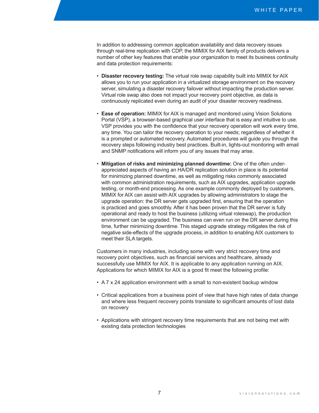In addition to addressing common application availability and data recovery issues through real-time replication with CDP, the MIMIX for AIX family of products delivers a number of other key features that enable your organization to meet its business continuity and data protection requirements:

- **Disaster recovery testing:** The virtual role swap capability built into MIMIX for AIX allows you to run your application in a virtualized storage environment on the recovery server, simulating a disaster recovery failover without impacting the production server. Virtual role swap also does not impact your recovery point objective, as data is continuously replicated even during an audit of your disaster recovery readiness.
- **Ease of operation:** MIMIX for AIX is managed and monitored using Vision Solutions Portal (VSP), a browser-based graphical user interface that is easy and intuitive to use. VSP provides you with the confidence that your recovery operation will work every time, any time. You can tailor the recovery operation to your needs; regardless of whether it is a prompted or automated recovery. Automated procedures will guide you through the recovery steps following industry best practices. Built-in, lights-out monitoring with email and SNMP notifications will inform you of any issues that may arise.
- **Mitigation of risks and minimizing planned downtime:** One of the often underappreciated aspects of having an HA/DR replication solution in place is its potential for minimizing planned downtime, as well as mitigating risks commonly associated with common administration requirements, such as AIX upgrades, application upgrade testing, or month-end processing. As one example commonly deployed by customers, MIMIX for AIX can assist with AIX upgrades by allowing administrators to stage the upgrade operation: the DR server gets upgraded first, ensuring that the operation is practiced and goes smoothly. After it has been proven that the DR server is fully operational and ready to host the business (utilizing virtual roleswap), the production environment can be upgraded. The business can even run on the DR server during this time, further minimizing downtime. This staged upgrade strategy mitigates the risk of negative side-effects of the upgrade process, in addition to enabling AIX customers to meet their SLA targets.

Customers in many industries, including some with very strict recovery time and recovery point objectives, such as financial services and healthcare, already successfully use MIMIX for AIX. It is applicable to any application running on AIX. Applications for which MIMIX for AIX is a good fit meet the following profile:

- • A 7 x 24 application environment with a small to non-existent backup window
- Critical applications from a business point of view that have high rates of data change and where less frequent recovery points translate to significant amounts of lost data on recovery
- Applications with stringent recovery time requirements that are not being met with existing data protection technologies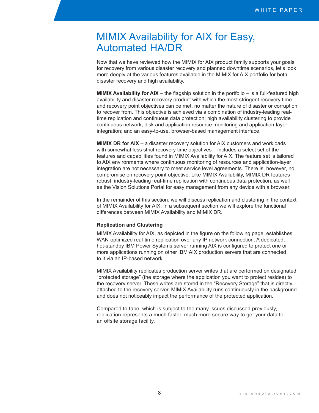### MIMIX Availability for AIX for Easy, Automated HA/DR

Now that we have reviewed how the MIMIX for AIX product family supports your goals for recovery from various disaster recovery and planned downtime scenarios, let's look more deeply at the various features available in the MIMIX for AIX portfolio for both disaster recovery and high availability.

**MIMIX Availability for AIX** – the flagship solution in the portfolio – is a full-featured high availability and disaster recovery product with which the most stringent recovery time and recovery point objectives can be met, no matter the nature of disaster or corruption to recover from. This objective is achieved via a combination of industry-leading realtime replication and continuous data protection; high availability clustering to provide continuous network, disk and application resource monitoring and application-layer integration; and an easy-to-use, browser-based management interface.

**MIMIX DR for AIX** – a disaster recovery solution for AIX customers and workloads with somewhat less strict recovery time objectives – includes a select set of the features and capabilities found in MIMIX Availability for AIX. The feature set is tailored to AIX environments where continuous monitoring of resources and application-layer integration are not necessary to meet service level agreements. There is, however, no compromise on recovery point objective. Like MIMIX Availability, MIMIX DR features robust, industry-leading real-time replication with continuous data protection, as well as the Vision Solutions Portal for easy management from any device with a browser.

In the remainder of this section, we will discuss replication and clustering in the context of MIMIX Availability for AIX. In a subsequent section we will explore the functional differences between MIMIX Availability and MIMIX DR.

#### **Replication and Clustering**

MIMIX Availability for AIX, as depicted in the figure on the following page, establishes WAN-optimized real-time replication over any IP network connection. A dedicated, hot-standby IBM Power Systems server running AIX is configured to protect one or more applications running on other IBM AIX production servers that are connected to it via an IP-based network.

MIMIX Availability replicates production server writes that are performed on designated "protected storage" (the storage where the application you want to protect resides) to the recovery server. These writes are stored in the "Recovery Storage" that is directly attached to the recovery server. MIMIX Availability runs continuously in the background and does not noticeably impact the performance of the protected application.

Compared to tape, which is subject to the many issues discussed previously, replication represents a much faster, much more secure way to get your data to an offsite storage facility.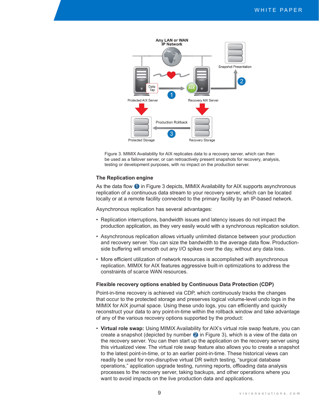

Figure 3. MIMIX Availability for AIX replicates data to a recovery server, which can then be used as a failover server, or can retroactively present snapshots for recovery, analysis, testing or development purposes, with no impact on the production server.

#### **The Replication engine**

As the data flow  $\bigcirc$  in Figure 3 depicts, MIMIX Availability for AIX supports asynchronous replication of a continuous data stream to your recovery server, which can be located locally or at a remote facility connected to the primary facility by an IP-based network.

Asynchronous replication has several advantages:

- Replication interruptions, bandwidth issues and latency issues do not impact the production application, as they very easily would with a synchronous replication solution.
- Asynchronous replication allows virtually unlimited distance between your production and recovery server. You can size the bandwidth to the average data flow. Productionside buffering will smooth out any I/O spikes over the day, without any data loss.
- • More efficient utilization of network resources is accomplished with asynchronous replication. MIMIX for AIX features aggressive built-in optimizations to address the constraints of scarce WAN resources.

#### **Flexible recovery options enabled by Continuous Data Protection (CDP)**

Point-in-time recovery is achieved via CDP, which continuously tracks the changes that occur to the protected storage and preserves logical volume-level undo logs in the MIMIX for AIX journal space. Using these undo logs, you can efficiently and quickly reconstruct your data to any point-in-time within the rollback window and take advantage of any of the various recovery options supported by the product:

• **Virtual role swap:** Using MIMIX Availability for AIX's virtual role swap feature, you can create a snapshot (depicted by number  $\bullet$  in Figure 3), which is a view of the data on the recovery server. You can then start up the application on the recovery server using this virtualized view. The virtual role swap feature also allows you to create a snapshot to the latest point-in-time, or to an earlier point-in-time. These historical views can readily be used for non-disruptive virtual DR switch testing, "surgical database operations," application upgrade testing, running reports, offloading data analysis processes to the recovery server, taking backups, and other operations where you want to avoid impacts on the live production data and applications.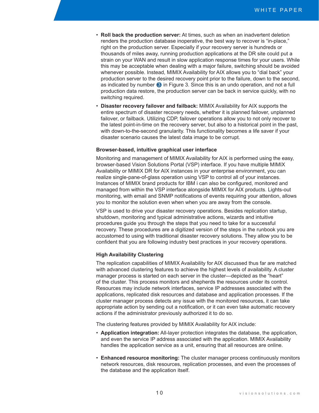- **Roll back the production server:** At times, such as when an inadvertent deletion renders the production database inoperative, the best way to recover is "in-place," right on the production server. Especially if your recovery server is hundreds or thousands of miles away, running production applications at the DR site could put a strain on your WAN and result in slow application response times for your users. While this may be acceptable when dealing with a major failure, switching should be avoided whenever possible. Instead, MIMIX Availability for AIX allows you to "dial back" your production server to the desired recovery point prior to the failure, down to the second, as indicated by number  $\odot$  in Figure 3. Since this is an undo operation, and not a full production data restore, the production server can be back in service quickly, with no switching required.
- **Disaster recovery failover and failback:** MIMIX Availability for AIX supports the entire spectrum of disaster recovery needs, whether it is planned failover, unplanned failover, or failback. Utilizing CDP, failover operations allow you to not only recover to the latest point-in-time on the recovery server, but also to a historical point in the past, with down-to-the-second granularity. This functionality becomes a life saver if your disaster scenario causes the latest data image to be corrupt.

#### **Browser-based, intuitive graphical user interface**

Monitoring and management of MIMIX Availability for AIX is performed using the easy, browser-based Vision Solutions Portal (VSP) interface. If you have multiple MIMIX Availability or MIMIX DR for AIX instances in your enterprise environment, you can realize single-pane-of-glass operation using VSP to control all of your instances. Instances of MIMIX brand products for IBM i can also be configured, monitored and managed from within the VSP interface alongside MIMIX for AIX products. Lights-out monitoring, with email and SNMP notifications of events requiring your attention, allows you to monitor the solution even when when you are away from the console.

VSP is used to drive your disaster recovery operations. Besides replication startup, shutdown, monitoring and typical administrative actions, wizards and intuitive procedures guide you through the steps that you need to take for a successful recovery. These procedures are a digitized version of the steps in the runbook you are accustomed to using with traditional disaster recovery solutions. They allow you to be confident that you are following industry best practices in your recovery operations.

#### **High Availability Clustering**

The replication capabilities of MIMIX Availability for AIX discussed thus far are matched with advanced clustering features to achieve the highest levels of availability. A cluster manager process is started on each server in the cluster—depicted as the "heart" of the cluster. This process monitors and shepherds the resources under its control. Resources may include network interfaces, service IP addresses associated with the applications, replicated disk resources and database and application processes. If the cluster manager process detects any issue with the monitored resources, it can take appropriate action by sending out a notification, or it can even take automatic recovery actions if the administrator previously authorized it to do so.

The clustering features provided by MIMIX Availability for AIX include:

- **Application integration:** All-layer protection integrates the database, the application, and even the service IP address associated with the application. MIMIX Availability handles the application service as a unit, ensuring that all resources are online.
- **Enhanced resource monitoring:** The cluster manager process continuously monitors network resources, disk resources, replication processes, and even the processes of the database and the application itself.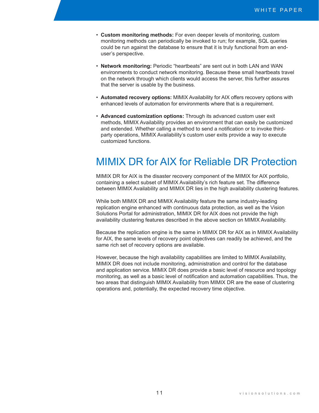- **Custom monitoring methods:** For even deeper levels of monitoring, custom monitoring methods can periodically be invoked to run; for example, SQL queries could be run against the database to ensure that it is truly functional from an enduser's perspective.
- **Network monitoring:** Periodic "heartbeats" are sent out in both LAN and WAN environments to conduct network monitoring. Because these small heartbeats travel on the network through which clients would access the server, this further assures that the server is usable by the business.
- **Automated recovery options:** MIMIX Availability for AIX offers recovery options with enhanced levels of automation for environments where that is a requirement.
- **Advanced customization options:** Through its advanced custom user exit methods, MIMIX Availability provides an environment that can easily be customized and extended. Whether calling a method to send a notification or to invoke thirdparty operations, MIMIX Availability's custom user exits provide a way to execute customized functions.

### MIMIX DR for AIX for Reliable DR Protection

MIMIX DR for AIX is the disaster recovery component of the MIMIX for AIX portfolio, containing a select subset of MIMIX Availability's rich feature set. The difference between MIMIX Availability and MIMIX DR lies in the high availability clustering features.

While both MIMIX DR and MIMIX Availability feature the same industry-leading replication engine enhanced with continuous data protection, as well as the Vision Solutions Portal for administration, MIMIX DR for AIX does not provide the high availability clustering features described in the above section on MIMIX Availability.

Because the replication engine is the same in MIMIX DR for AIX as in MIMIX Availability for AIX, the same levels of recovery point objectives can readily be achieved, and the same rich set of recovery options are available.

However, because the high availability capabilities are limited to MIMIX Availability, MIMIX DR does not include monitoring, administration and control for the database and application service. MIMIX DR does provide a basic level of resource and topology monitoring, as well as a basic level of notification and automation capabilities. Thus, the two areas that distinguish MIMIX Availability from MIMIX DR are the ease of clustering operations and, potentially, the expected recovery time objective.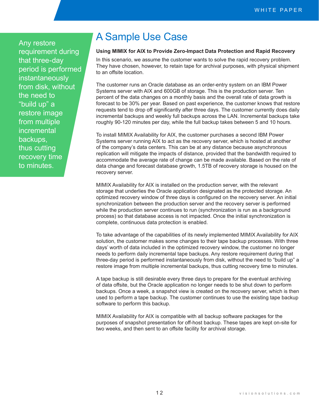Any restore requirement during that three-day period is performed instantaneously from disk, without the need to "build up" a restore image from multiple incremental backups, thus cutting recovery time to minutes.

## A Sample Use Case

#### **Using MIMIX for AIX to Provide Zero-Impact Data Protection and Rapid Recovery**

In this scenario, we assume the customer wants to solve the rapid recovery problem. They have chosen, however, to retain tape for archival purposes, with physical shipment to an offsite location.

The customer runs an Oracle database as an order-entry system on an IBM Power Systems server with AIX and 600GB of storage. This is the production server. Ten percent of the data changes on a monthly basis and the overall rate of data growth is forecast to be 30% per year. Based on past experience, the customer knows that restore requests tend to drop off significantly after three days. The customer currently does daily incremental backups and weekly full backups across the LAN. Incremental backups take roughly 90-120 minutes per day, while the full backup takes between 5 and 10 hours.

To install MIMIX Availability for AIX, the customer purchases a second IBM Power Systems server running AIX to act as the recovery server, which is hosted at another of the company's data centers. This can be at any distance because asynchronous replication will mitigate the impacts of distance, provided that the bandwidth required to accommodate the average rate of change can be made available. Based on the rate of data change and forecast database growth, 1.5TB of recovery storage is housed on the recovery server.

MIMIX Availability for AIX is installed on the production server, with the relevant storage that underlies the Oracle application designated as the protected storage. An optimized recovery window of three days is configured on the recovery server. An initial synchronization between the production server and the recovery server is performed while the production server continues to run (synchronization is run as a background process) so that database access is not impacted. Once the initial synchronization is complete, continuous data protection is enabled.

To take advantage of the capabilities of its newly implemented MIMIX Availability for AIX solution, the customer makes some changes to their tape backup processes. With three days' worth of data included in the optimized recovery window, the customer no longer needs to perform daily incremental tape backups. Any restore requirement during that three-day period is performed instantaneously from disk, without the need to "build up" a restore image from multiple incremental backups, thus cutting recovery time to minutes.

A tape backup is still desirable every three days to prepare for the eventual archiving of data offsite, but the Oracle application no longer needs to be shut down to perform backups. Once a week, a snapshot view is created on the recovery server, which is then used to perform a tape backup. The customer continues to use the existing tape backup software to perform this backup.

MIMIX Availability for AIX is compatible with all backup software packages for the purposes of snapshot presentation for off-host backup. These tapes are kept on-site for two weeks, and then sent to an offsite facility for archival storage.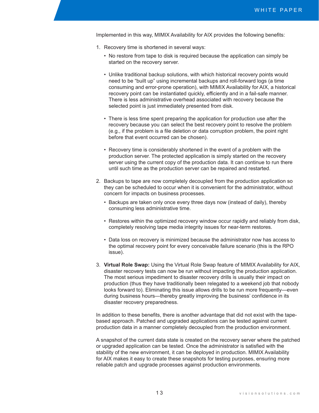Implemented in this way, MIMIX Availability for AIX provides the following benefits:

- 1. Recovery time is shortened in several ways:
	- No restore from tape to disk is required because the application can simply be started on the recovery server.
	- Unlike traditional backup solutions, with which historical recovery points would need to be "built up" using incremental backups and roll-forward logs (a time consuming and error-prone operation), with MIMIX Availability for AIX, a historical recovery point can be instantiated quickly, efficiently and in a fail-safe manner. There is less administrative overhead associated with recovery because the selected point is just immediately presented from disk.
	- There is less time spent preparing the application for production use after the recovery because you can select the best recovery point to resolve the problem (e.g., if the problem is a file deletion or data corruption problem, the point right before that event occurred can be chosen).
	- Recovery time is considerably shortened in the event of a problem with the production server. The protected application is simply started on the recovery server using the current copy of the production data. It can continue to run there until such time as the production server can be repaired and restarted.
- 2. Backups to tape are now completely decoupled from the production application so they can be scheduled to occur when it is convenient for the administrator, without concern for impacts on business processes.
	- Backups are taken only once every three days now (instead of daily), thereby consuming less administrative time.
	- Restores within the optimized recovery window occur rapidly and reliably from disk, completely resolving tape media integrity issues for near-term restores.
	- Data loss on recovery is minimized because the administrator now has access to the optimal recovery point for every conceivable failure scenario (this is the RPO issue).
- 3. **Virtual Role Swap:** Using the Virtual Role Swap feature of MIMIX Availability for AIX, disaster recovery tests can now be run without impacting the production application. The most serious impediment to disaster recovery drills is usually their impact on production (thus they have traditionally been relegated to a weekend job that nobody looks forward to). Eliminating this issue allows drills to be run more frequently—even during business hours—thereby greatly improving the business' confidence in its disaster recovery preparedness.

In addition to these benefits, there is another advantage that did not exist with the tapebased approach. Patched and upgraded applications can be tested against current production data in a manner completely decoupled from the production environment.

A snapshot of the current data state is created on the recovery server where the patched or upgraded application can be tested. Once the administrator is satisfied with the stability of the new environment, it can be deployed in production. MIMIX Availability for AIX makes it easy to create these snapshots for testing purposes, ensuring more reliable patch and upgrade processes against production environments.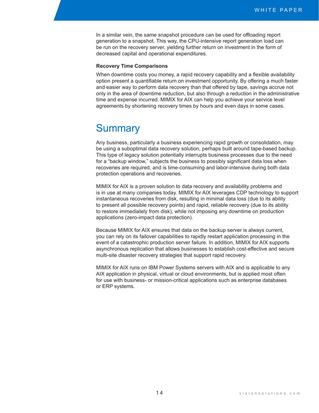In a similar vein, the same snapshot procedure can be used for offloading report generation to a snapshot. This way, the CPU-intensive report generation load can be run on the recovery server, yielding further return on investment in the form of decreased capital and operational expenditures.

#### **Recovery Time Comparisons**

When downtime costs you money, a rapid recovery capability and a flexible availability option present a quantifiable return on investment opportunity. By offering a much faster and easier way to perform data recovery than that offered by tape, savings accrue not only in the area of downtime reduction, but also through a reduction in the administrative time and expense incurred. MIMIX for AIX can help you achieve your service level agreements by shortening recovery times by hours and even days in some cases.

### **Summary**

Any business, particularly a business experiencing rapid growth or consolidation, may be using a suboptimal data recovery solution, perhaps built around tape-based backup. This type of legacy solution potentially interrupts business processes due to the need for a "backup window," subjects the business to possibly significant data loss when recoveries are required, and is time-consuming and labor-intensive during both data protection operations and recoveries.

MIMIX for AIX is a proven solution to data recovery and availability problems and is in use at many companies today. MIMIX for AIX leverages CDP technology to support instantaneous recoveries from disk, resulting in minimal data loss (due to its ability to present all possible recovery points) and rapid, reliable recovery (due to its ability to restore immediately from disk), while not imposing any downtime on production applications (zero-impact data protection).

Because MIMIX for AIX ensures that data on the backup server is always current, you can rely on its failover capabilities to rapidly restart application processing in the event of a catastrophic production server failure. In addition, MIMIX for AIX supports asynchronous replication that allows businesses to establish cost-effective and secure multi-site disaster recovery strategies that support rapid recovery.

MIMIX for AIX runs on IBM Power Systems servers with AIX and is applicable to any AIX application in physical, virtual or cloud environments, but is applied most often for use with business- or mission-critical applications such as enterprise databases or ERP systems.